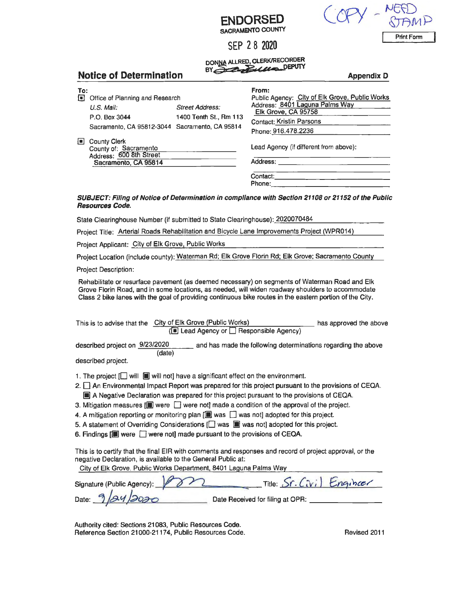| <b>ENDORSED</b>          |
|--------------------------|
| <b>SACRAMENTO COUNTY</b> |

SEP 2 8 2020

DO~ ALLRED, CLERK/RECORDER BY - *? .zB•U,t'Q* DEPUTY

|                       | DI CALCARE CARD<br><b>Notice of Determination</b><br><b>Appendix D</b>  |                                                  |                                                                                                                                                     |  |  |  |
|-----------------------|-------------------------------------------------------------------------|--------------------------------------------------|-----------------------------------------------------------------------------------------------------------------------------------------------------|--|--|--|
| To:<br>$\blacksquare$ | Office of Planning and Research<br>U.S. Mail.<br>P.O. Box 3044          | <b>Street Address:</b><br>1400 Tenth St., Rm 113 | From:<br>Public Agency: City of Elk Grove, Public Works<br>Address: 8401 Laguna Palms Way<br>Elk Grove, CA 95758<br><b>Contact: Kristin Parsons</b> |  |  |  |
|                       | Sacramento, CA 95812-3044 Sacramento, CA 95814                          |                                                  | Phone: 916.478.2236                                                                                                                                 |  |  |  |
| o                     | <b>County Clerk</b><br>County of: Sacramento<br>Address: 600 8th Street |                                                  | Lead Agency (if different from above):                                                                                                              |  |  |  |
|                       | Sacramento, CA 95814                                                    |                                                  | Address:                                                                                                                                            |  |  |  |
|                       |                                                                         |                                                  | Contact:<br>Phone:                                                                                                                                  |  |  |  |

## **SUBJECT: Filing of Notice of Determination in compliance with Section 21108 or 21152 of the Public Resources Code.**

State Clearinghouse Number (if submitted to State Clearinghouse): 2020070484

Project Title: Arterial Roads Rehabilitation and Bicycle Lane Improvements Project (WPR014)

Project Applicant: City of Elk Grove, Public Works

Project Location (include county): Waterman Rd; Elk Grove Florin Rd; Elk Grove; Sacramento County

Project Description:

Rehabilitate or resurface pavement (as deemed necessary) on segments of Waterman Road and Elk Grove Florin Road, and in some locations, as needed, will widen roadway shoulders to accommodate Class 2 bike lanes with the goal of providing continuous bike routes in the eastern portion of the City.

| This is to advise that the City of Elk Grove (Public Works) | has approved the above |
|-------------------------------------------------------------|------------------------|
| ( $\Box$ Lead Agency or $\Box$ Responsible Agency)          |                        |

described project on 9/23/2020 (date) and has made the following determinations regarding the above

described project.

- 1. The project  $[\Box]$  will  $[\Box]$  will not] have a significant effect on the environment.
- 2.  $\square$  An Environmental Impact Report was prepared for this project pursuant to the provisions of CEQA.  $\Box$  A Negative Declaration was prepared for this project pursuant to the provisions of CEQA.
- 3. Mitigation measures  $[\blacksquare]$  were  $\Box$  were not] made a condition of the approval of the project.
- 4. A mitigation reporting or monitoring plan  $[\blacksquare]$  was  $\Box$  was not] adopted for this project.
- 5. A statement of Overriding Considerations  $[\Box]$  was  $[\Box]$  was not] adopted for this project.
- 6. Findings  $[\blacksquare]$  were  $\Box$  were not] made pursuant to the provisions of CEQA.

This is to certify that the final EIR with comments and responses and record of project approval, or the negative Declaration, is available to the General Public at:

City of Elk Grove, Public Works Department, 8401 Laguna Palms Way

| Signature (Public Agency): 2 |                                  | Title: Sr. Civil Engineer |
|------------------------------|----------------------------------|---------------------------|
| Date: 9/24/2020              | Date Received for filing at OPR: |                           |

Authority cited: Sections 21083, Public Resources Code. Reference Section 21000-21174, Public Resources Code. The Content of Revised 2011